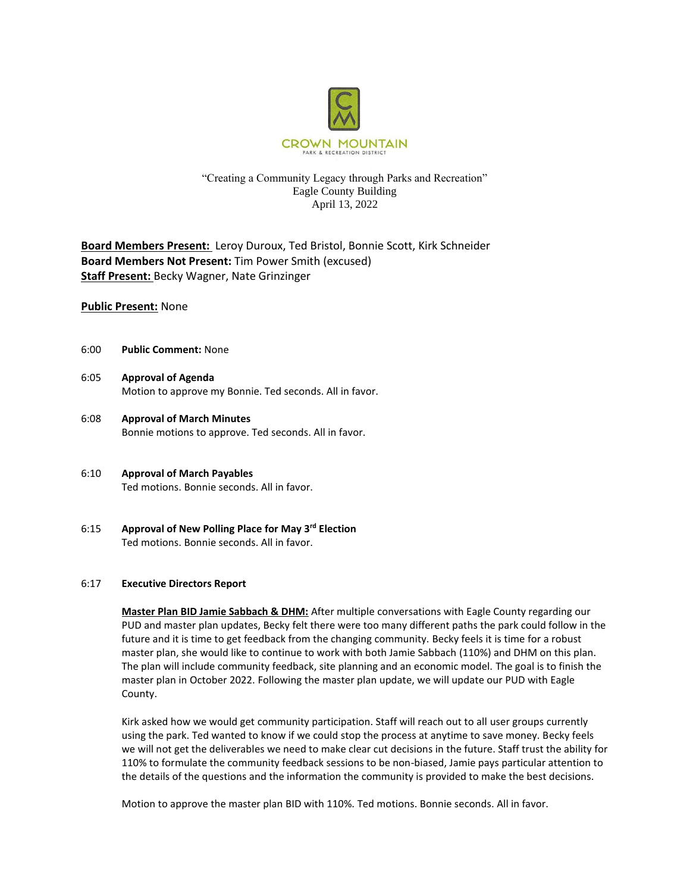

# "Creating a Community Legacy through Parks and Recreation" Eagle County Building April 13, 2022

**Board Members Present:** Leroy Duroux, Ted Bristol, Bonnie Scott, Kirk Schneider **Board Members Not Present:** Tim Power Smith (excused) **Staff Present:** Becky Wagner, Nate Grinzinger

## **Public Present:** None

- 6:00 **Public Comment:** None
- 6:05 **Approval of Agenda** Motion to approve my Bonnie. Ted seconds. All in favor.
- 6:08 **Approval of March Minutes**  Bonnie motions to approve. Ted seconds. All in favor.
- 6:10 **Approval of March Payables**  Ted motions. Bonnie seconds. All in favor.
- 6:15 **Approval of New Polling Place for May 3rd Election** Ted motions. Bonnie seconds. All in favor.

### 6:17 **Executive Directors Report**

**Master Plan BID Jamie Sabbach & DHM:** After multiple conversations with Eagle County regarding our PUD and master plan updates, Becky felt there were too many different paths the park could follow in the future and it is time to get feedback from the changing community. Becky feels it is time for a robust master plan, she would like to continue to work with both Jamie Sabbach (110%) and DHM on this plan. The plan will include community feedback, site planning and an economic model. The goal is to finish the master plan in October 2022. Following the master plan update, we will update our PUD with Eagle County.

Kirk asked how we would get community participation. Staff will reach out to all user groups currently using the park. Ted wanted to know if we could stop the process at anytime to save money. Becky feels we will not get the deliverables we need to make clear cut decisions in the future. Staff trust the ability for 110% to formulate the community feedback sessions to be non-biased, Jamie pays particular attention to the details of the questions and the information the community is provided to make the best decisions.

Motion to approve the master plan BID with 110%. Ted motions. Bonnie seconds. All in favor.